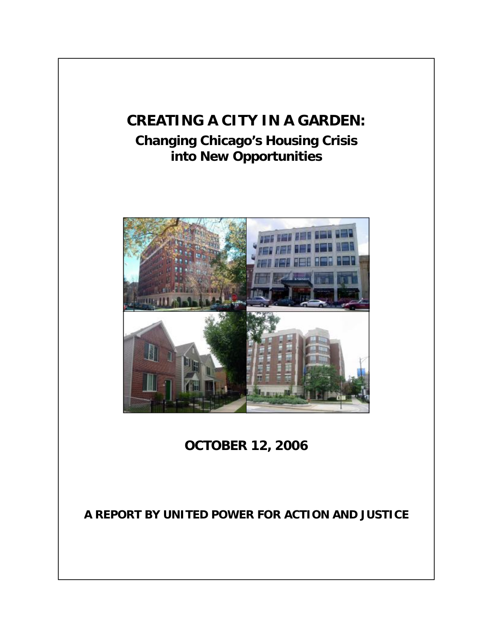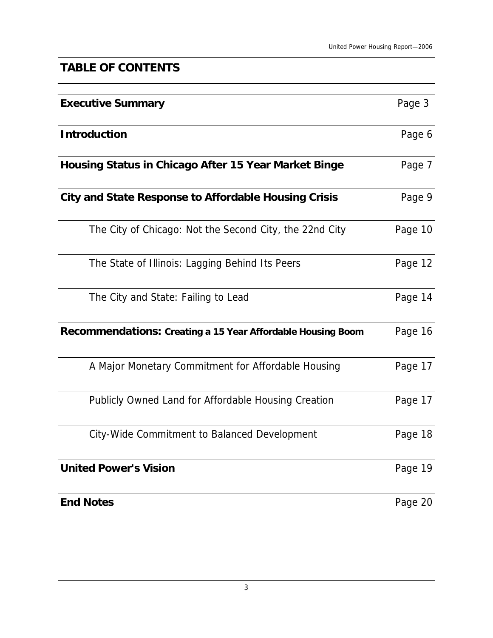# **TABLE OF CONTENTS**

| <b>Executive Summary</b>                                    | Page 3  |
|-------------------------------------------------------------|---------|
| <b>Introduction</b>                                         | Page 6  |
| Housing Status in Chicago After 15 Year Market Binge        | Page 7  |
| <b>City and State Response to Affordable Housing Crisis</b> | Page 9  |
| The City of Chicago: Not the Second City, the 22nd City     | Page 10 |
| The State of Illinois: Lagging Behind Its Peers             | Page 12 |
| The City and State: Failing to Lead                         | Page 14 |
| Recommendations: Creating a 15 Year Affordable Housing Boom | Page 16 |
| A Major Monetary Commitment for Affordable Housing          | Page 17 |
| Publicly Owned Land for Affordable Housing Creation         | Page 17 |
| City-Wide Commitment to Balanced Development                | Page 18 |
| <b>United Power's Vision</b>                                | Page 19 |
| <b>End Notes</b>                                            | Page 20 |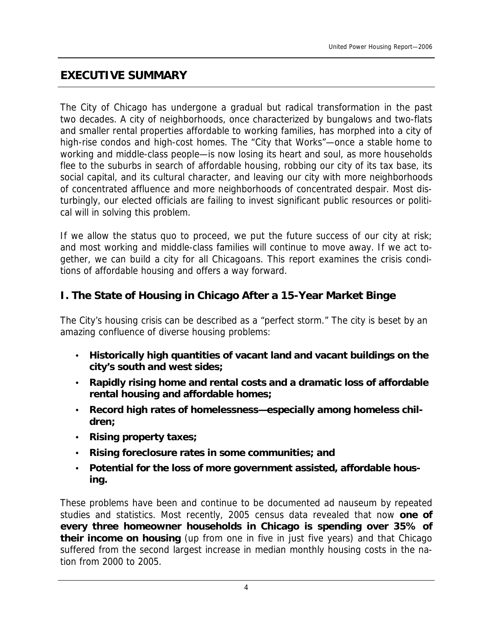### **EXECUTIVE SUMMARY**

The City of Chicago has undergone a gradual but radical transformation in the past two decades. A city of neighborhoods, once characterized by bungalows and two-flats and smaller rental properties affordable to working families, has morphed into a city of high-rise condos and high-cost homes. The "City that Works"—once a stable home to working and middle-class people—is now losing its heart and soul, as more households flee to the suburbs in search of affordable housing, robbing our city of its tax base, its social capital, and its cultural character, and leaving our city with more neighborhoods of concentrated affluence and more neighborhoods of concentrated despair. Most disturbingly, our elected officials are failing to invest significant public resources or political will in solving this problem.

If we allow the status quo to proceed, we put the future success of our city at risk; and most working and middle-class families will continue to move away. If we act together, we can build a city for all Chicagoans. This report examines the crisis conditions of affordable housing and offers a way forward.

### **I. The State of Housing in Chicago After a 15-Year Market Binge**

The City's housing crisis can be described as a "perfect storm." The city is beset by an amazing confluence of diverse housing problems:

- **Historically high quantities of vacant land and vacant buildings on the city's south and west sides;**
- **Rapidly rising home and rental costs and a dramatic loss of affordable rental housing and affordable homes;**
- **Record high rates of homelessness—especially among homeless children;**
- **Rising property taxes;**
- **Rising foreclosure rates in some communities; and**
- **Potential for the loss of more government assisted, affordable housing.**

These problems have been and continue to be documented *ad nauseum* by repeated studies and statistics. Most recently, 2005 census data revealed that now **one of every three homeowner households in Chicago is spending over 35% of their income on housing** (up from one in five in just five years) and that Chicago suffered from the second largest increase in median monthly housing costs in the nation from 2000 to 2005.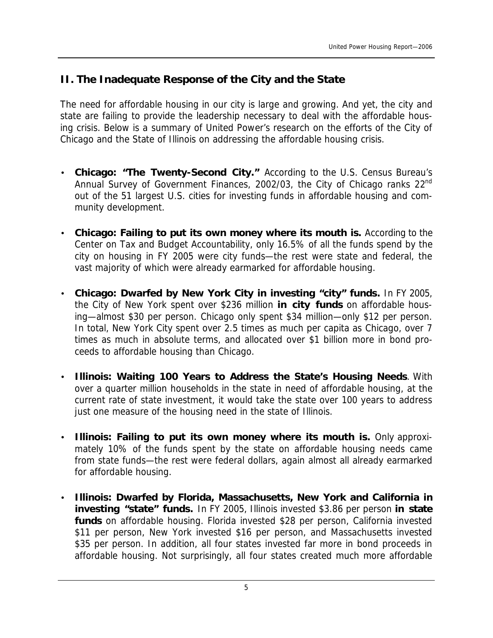### **II. The Inadequate Response of the City and the State**

The need for affordable housing in our city is large and growing. And yet, the city and state are failing to provide the leadership necessary to deal with the affordable housing crisis. Below is a summary of United Power's research on the efforts of the City of Chicago and the State of Illinois on addressing the affordable housing crisis.

- **Chicago: "The Twenty-Second City."** According to the U.S. Census Bureau's Annual Survey of Government Finances, 2002/03, the City of Chicago ranks 22<sup>nd</sup> out of the 51 largest U.S. cities for investing funds in affordable housing and community development.
- **Chicago: Failing to put its own money where its mouth is.** According to the Center on Tax and Budget Accountability, only 16.5% of all the funds spend by the city on housing in FY 2005 were city funds—the rest were state and federal, the vast majority of which were already earmarked for affordable housing.
- **Chicago: Dwarfed by New York City in investing "city" funds.** In FY 2005, the City of New York spent over \$236 million **in city funds** on affordable housing—almost \$30 per person. Chicago only spent \$34 million—only \$12 per person. In total, New York City spent over 2.5 times as much per capita as Chicago, over 7 times as much in absolute terms, and allocated over \$1 billion more in bond proceeds to affordable housing than Chicago.
- **Illinois: Waiting 100 Years to Address the State's Housing Needs**. With over a quarter million households in the state in need of affordable housing, at the current rate of state investment, it would take the state over 100 years to address just one measure of the housing need in the state of Illinois.
- **Illinois: Failing to put its own money where its mouth is.** Only approximately 10% of the funds spent by the state on affordable housing needs came from state funds—the rest were federal dollars, again almost all already earmarked for affordable housing.
- **Illinois: Dwarfed by Florida, Massachusetts, New York and California in investing "state" funds.** In FY 2005, Illinois invested \$3.86 per person **in state funds** on affordable housing. Florida invested \$28 per person, California invested \$11 per person, New York invested \$16 per person, and Massachusetts invested \$35 per person. In addition, all four states invested far more in bond proceeds in affordable housing. Not surprisingly, all four states created much more affordable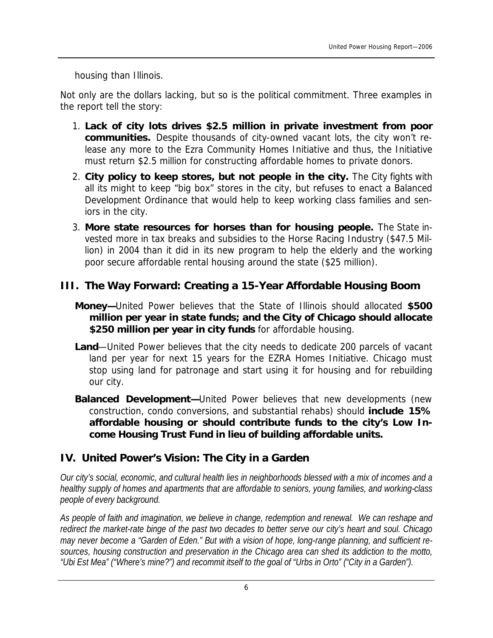housing than Illinois.

Not only are the dollars lacking, but so is the political commitment. Three examples in the report tell the story:

- 1. **Lack of city lots drives \$2.5 million in private investment from poor communities.** Despite thousands of city-owned vacant lots, the city won't release any more to the Ezra Community Homes Initiative and thus, the Initiative must return \$2.5 million for constructing affordable homes to private donors.
- 2. **City policy to keep stores, but not people in the city.** The City fights with all its might to keep "big box" stores in the city, but refuses to enact a Balanced Development Ordinance that would help to keep working class families and seniors in the city.
- 3. **More state resources for horses than for housing people.** The State invested more in tax breaks and subsidies to the Horse Racing Industry (\$47.5 Million) in 2004 than it did in its new program to help the elderly and the working poor secure affordable rental housing around the state (\$25 million).

### **III. The Way Forward: Creating a 15-Year Affordable Housing Boom**

- **Money—**United Power believes that the State of Illinois should allocated **\$500 million per year in state funds; and the City of Chicago should allocate \$250 million per year in city funds** for affordable housing.
- **Land**—United Power believes that the city needs to dedicate 200 parcels of vacant land per year for next 15 years for the EZRA Homes Initiative. Chicago must stop using land for patronage and start using it for housing and for rebuilding our city.
- **Balanced Development—**United Power believes that new developments (new construction, condo conversions, and substantial rehabs) should **include 15% affordable housing or should contribute funds to the city's Low Income Housing Trust Fund in lieu of building affordable units.**

### **IV. United Power's Vision: The City in a Garden**

Our city's social, economic, and cultural health lies in neighborhoods blessed with a mix of incomes and a *healthy supply of homes and apartments that are affordable to seniors, young families, and working-class people of every background.* 

*As people of faith and imagination, we believe in change, redemption and renewal. We can reshape and*  redirect the market-rate binge of the past two decades to better serve our city's heart and soul. Chicago may never become a "Garden of Eden." But with a vision of hope, long-range planning, and sufficient re*sources, housing construction and preservation in the Chicago area can shed its addiction to the motto, "Ubi Est Mea" ("Where's mine?") and recommit itself to the goal of "Urbs in Orto" ("City in a Garden").*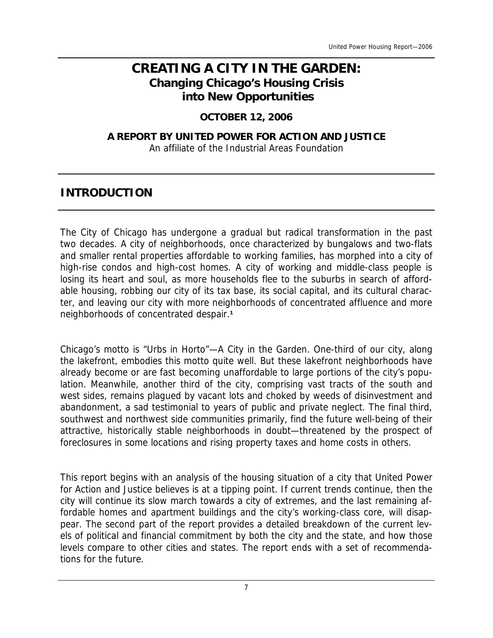# **CREATING A CITY IN THE GARDEN: Changing Chicago's Housing Crisis into New Opportunities**

#### **OCTOBER 12, 2006**

#### **A REPORT BY UNITED POWER FOR ACTION AND JUSTICE**  An affiliate of the Industrial Areas Foundation

## **INTRODUCTION**

The City of Chicago has undergone a gradual but radical transformation in the past two decades. A city of neighborhoods, once characterized by bungalows and two-flats and smaller rental properties affordable to working families, has morphed into a city of high-rise condos and high-cost homes. A city of working and middle-class people is losing its heart and soul, as more households flee to the suburbs in search of affordable housing, robbing our city of its tax base, its social capital, and its cultural character, and leaving our city with more neighborhoods of concentrated affluence and more neighborhoods of concentrated despair.**<sup>1</sup>**

Chicago's motto is "Urbs in Horto"—A City in the Garden. One-third of our city, along the lakefront, embodies this motto quite well. But these lakefront neighborhoods have already become or are fast becoming unaffordable to large portions of the city's population. Meanwhile, another third of the city, comprising vast tracts of the south and west sides, remains plagued by vacant lots and choked by weeds of disinvestment and abandonment, a sad testimonial to years of public and private neglect. The final third, southwest and northwest side communities primarily, find the future well-being of their attractive, historically stable neighborhoods in doubt—threatened by the prospect of foreclosures in some locations and rising property taxes and home costs in others.

This report begins with an analysis of the housing situation of a city that United Power for Action and Justice believes is at a tipping point. If current trends continue, then the city will continue its slow march towards a city of extremes, and the last remaining affordable homes and apartment buildings and the city's working-class core, will disappear. The second part of the report provides a detailed breakdown of the current levels of political and financial commitment by both the city and the state, and how those levels compare to other cities and states. The report ends with a set of recommendations for the future.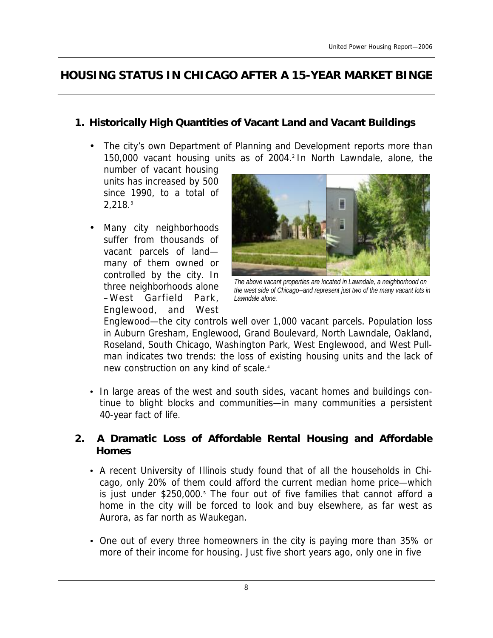# **HOUSING STATUS IN CHICAGO AFTER A 15-YEAR MARKET BINGE**

### **1. Historically High Quantities of Vacant Land and Vacant Buildings**

The city's own Department of Planning and Development reports more than 150,000 vacant housing units as of 2004.<sup>2</sup> In North Lawndale, alone, the

number of vacant housing units has increased by 500 since 1990, to a total of 2,218.<sup>3</sup>

• Many city neighborhoods suffer from thousands of vacant parcels of land many of them owned or controlled by the city. In three neighborhoods alone –West Garfield Park, Englewood, and West



*The above vacant properties are located in Lawndale, a neighborhood on the west side of Chicago--and represent just two of the many vacant lots in Lawndale alone.* 

Englewood—the city controls well over 1,000 vacant parcels. Population loss in Auburn Gresham, Englewood, Grand Boulevard, North Lawndale, Oakland, Roseland, South Chicago, Washington Park, West Englewood, and West Pullman indicates two trends: the loss of existing housing units and the lack of new construction on any kind of scale.<sup>4</sup>

• In large areas of the west and south sides, vacant homes and buildings continue to blight blocks and communities—in many communities a persistent 40-year fact of life.

### **2. A Dramatic Loss of Affordable Rental Housing and Affordable Homes**

- A recent University of Illinois study found that of all the households in Chicago, only 20% of them could afford the current median home price—which is just under \$250,000.**<sup>5</sup>** The four out of five families that cannot afford a home in the city will be forced to look and buy elsewhere, as far west as Aurora, as far north as Waukegan.
- One out of every three homeowners in the city is paying more than 35% or more of their income for housing. Just five short years ago, only one in five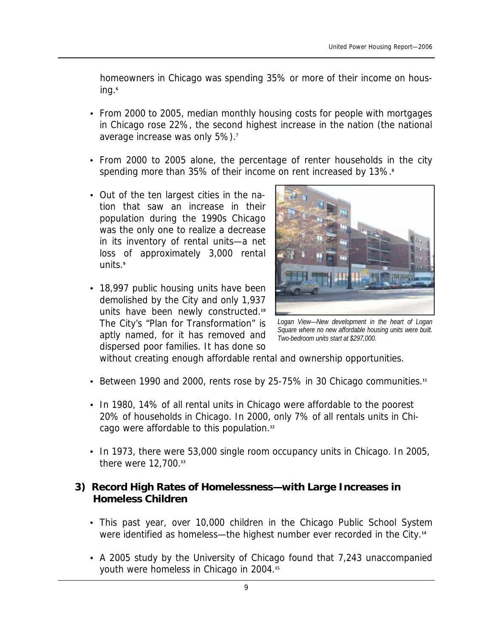homeowners in Chicago was spending 35% or more of their income on housing.**<sup>6</sup>**

- From 2000 to 2005, median monthly housing costs for people with mortgages in Chicago rose 22%, the second highest increase in the nation (the national average increase was only 5%).**<sup>7</sup>**
- From 2000 to 2005 alone, the percentage of renter households in the city spending more than 35% of their income on rent increased by 13%.**<sup>8</sup>**
- Out of the ten largest cities in the nation that saw an increase in their population during the 1990s Chicago was the only one to realize a decrease in its inventory of rental units—a net loss of approximately 3,000 rental units.**<sup>9</sup>**
- 18,997 public housing units have been demolished by the City and only 1,937 units have been newly constructed.**<sup>10</sup>** The City's "Plan for Transformation" is aptly named, for it has removed and dispersed poor families. It has done so



*Logan View—New development in the heart of Logan Square where no new affordable housing units were built. Two-bedroom units start at \$297,000.* 

without creating enough affordable rental and ownership opportunities.

- Between 1990 and 2000, rents rose by 25-75% in 30 Chicago communities.**<sup>11</sup>**
- In 1980, 14% of all rental units in Chicago were affordable to the poorest 20% of households in Chicago. In 2000, only 7% of all rentals units in Chicago were affordable to this population.**<sup>12</sup>**
- In 1973, there were 53,000 single room occupancy units in Chicago. In 2005, there were 12,700.**<sup>13</sup>**

#### **3) Record High Rates of Homelessness—with Large Increases in Homeless Children**

- This past year, over 10,000 children in the Chicago Public School System were identified as homeless—the highest number ever recorded in the City.**<sup>14</sup>**
- A 2005 study by the University of Chicago found that 7,243 unaccompanied youth were homeless in Chicago in 2004.**<sup>15</sup>**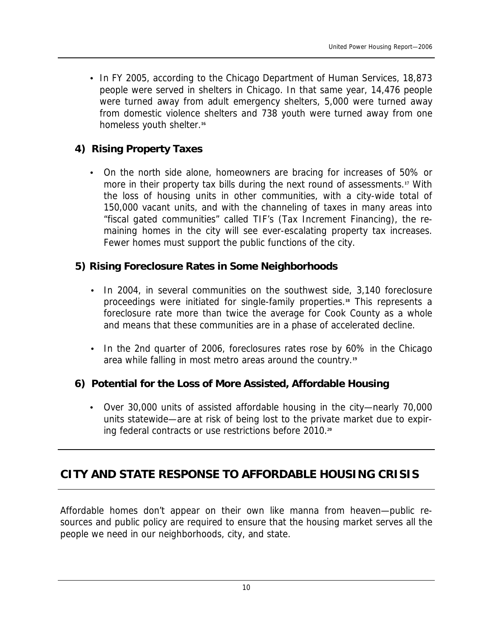• In FY 2005, according to the Chicago Department of Human Services, 18,873 people were served in shelters in Chicago. In that same year, 14,476 people were turned away from adult emergency shelters, 5,000 were turned away from domestic violence shelters and 738 youth were turned away from one homeless youth shelter.**<sup>16</sup>**

#### **4) Rising Property Taxes**

• On the north side alone, homeowners are bracing for increases of 50% or more in their property tax bills during the next round of assessments.**<sup>17</sup>** With the loss of housing units in other communities, with a city-wide total of 150,000 vacant units, and with the channeling of taxes in many areas into "fiscal gated communities" called TIF's (Tax Increment Financing), the remaining homes in the city will see ever-escalating property tax increases. Fewer homes must support the public functions of the city.

#### **5) Rising Foreclosure Rates in Some Neighborhoods**

- In 2004, in several communities on the southwest side, 3,140 foreclosure proceedings were initiated for single-family properties.**<sup>18</sup>** This represents a foreclosure rate more than twice the average for Cook County as a whole and means that these communities are in a phase of accelerated decline.
- In the 2nd quarter of 2006, foreclosures rates rose by 60% in the Chicago area while falling in most metro areas around the country.**<sup>19</sup>**

#### **6) Potential for the Loss of More Assisted, Affordable Housing**

• Over 30,000 units of assisted affordable housing in the city—nearly 70,000 units statewide—are at risk of being lost to the private market due to expiring federal contracts or use restrictions before 2010.**<sup>20</sup>**

# **CITY AND STATE RESPONSE TO AFFORDABLE HOUSING CRISIS**

Affordable homes don't appear on their own like manna from heaven—public resources and public policy are required to ensure that the housing market serves all the people we need in our neighborhoods, city, and state.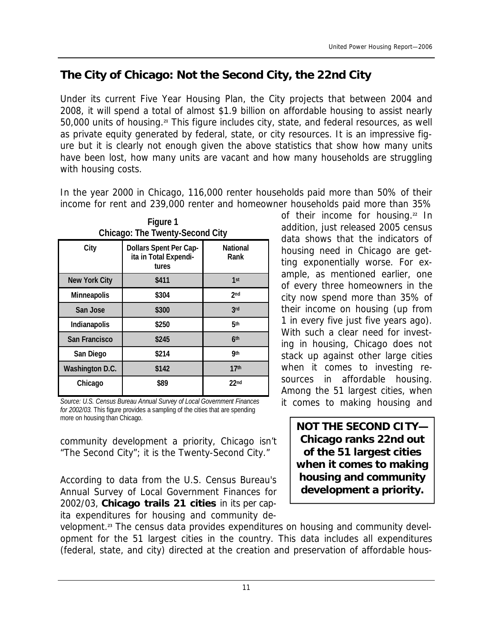# **The City of Chicago: Not the Second City, the 22nd City**

Under its current Five Year Housing Plan, the City projects that between 2004 and 2008, it will spend a total of almost \$1.9 billion on affordable housing to assist nearly 50,000 units of housing.**<sup>21</sup>** This figure includes city, state, and federal resources, as well as private equity generated by federal, state, or city resources. It is an impressive figure but it is clearly not enough given the above statistics that show how many units have been lost, how many units are vacant and how many households are struggling with housing costs.

In the year 2000 in Chicago, 116,000 renter households paid more than 50% of their income for rent and 239,000 renter and homeowner households paid more than 35%

| Chicago: The Twenty-Second City |                                                          |                  |
|---------------------------------|----------------------------------------------------------|------------------|
| City                            | Dollars Spent Per Cap-<br>ita in Total Expendi-<br>tures | National<br>Rank |
| New York City                   | \$411                                                    | 1 <sup>st</sup>  |
| Minneapolis                     | \$304                                                    | 2 <sub>nd</sub>  |
| San Jose                        | \$300                                                    | 3rd              |
| Indianapolis                    | \$250                                                    | 5 <sub>th</sub>  |
| San Francisco                   | \$245                                                    | 6 <sup>th</sup>  |
| San Diego                       | \$214                                                    | <b>gth</b>       |
| Washington D.C.                 | \$142                                                    | 17 <sup>th</sup> |
| Chicago                         | \$89                                                     | 22 <sub>nd</sub> |

**Figure 1** 

*Source: U.S. Census Bureau Annual Survey of Local Government Finances for 2002/03.* This figure provides a sampling of the cities that are spending more on housing than Chicago.

community development a priority, Chicago isn't "The Second City"; it is the Twenty-Second City."

According to data from the U.S. Census Bureau's Annual Survey of Local Government Finances for 2002/03, **Chicago trails 21 cities** in its per capita expenditures for housing and community de-

velopment.**<sup>23</sup>** The census data provides expenditures on housing and community development for the 51 largest cities in the country. This data includes all expenditures (federal, state, and city) directed at the creation and preservation of affordable hous-

of their income for housing.**<sup>22</sup>** In addition, just released 2005 census data shows that the indicators of housing need in Chicago are getting exponentially worse. For example, as mentioned earlier, one of every three homeowners in the city now spend more than 35% of their income on housing (up from 1 in every five just five years ago). With such a clear need for investing in housing, Chicago does not stack up against other large cities when it comes to investing resources in affordable housing. Among the 51 largest cities, when it comes to making housing and

**NOT THE SECOND CITY— Chicago ranks 22nd out of the 51 largest cities when it comes to making housing and community development a priority.**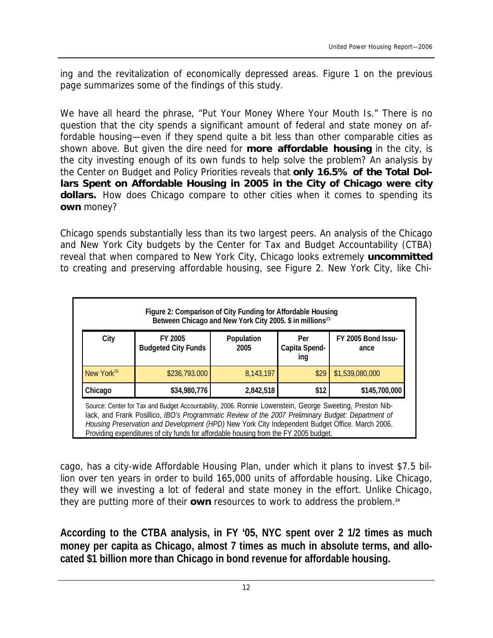ing and the revitalization of economically depressed areas. Figure 1 on the previous page summarizes some of the findings of this study.

We have all heard the phrase, "Put Your Money Where Your Mouth Is." There is no question that the city spends a significant amount of federal and state money on affordable housing—even if they spend quite a bit less than other comparable cities as shown above. But given the dire need for *more affordable housing* in the city, is the city investing enough of its own funds to help solve the problem? An analysis by the Center on Budget and Policy Priorities reveals that **only 16.5% of the Total Dollars Spent on Affordable Housing in 2005 in the City of Chicago were city dollars.** How does Chicago compare to other cities when it comes to spending its *own* money?

Chicago spends substantially less than its two largest peers. An analysis of the Chicago and New York City budgets by the Center for Tax and Budget Accountability (CTBA) reveal that when compared to New York City, Chicago looks extremely *uncommitted*  to creating and preserving affordable housing, see Figure 2. New York City, like Chi-

| Figure 2: Comparison of City Funding for Affordable Housing<br>Between Chicago and New York City 2005. \$ in millions <sup>25</sup>                                                                                                                                                                                                                                                                       |                                       |                    |                             |                            |
|-----------------------------------------------------------------------------------------------------------------------------------------------------------------------------------------------------------------------------------------------------------------------------------------------------------------------------------------------------------------------------------------------------------|---------------------------------------|--------------------|-----------------------------|----------------------------|
| City                                                                                                                                                                                                                                                                                                                                                                                                      | FY 2005<br><b>Budgeted City Funds</b> | Population<br>2005 | Per<br>Capita Spend-<br>ing | FY 2005 Bond Issu-<br>ance |
| New York <sup>26</sup>                                                                                                                                                                                                                                                                                                                                                                                    | \$236,793.000                         | 8,143,197          | \$29                        | \$1,539,080,000            |
| Chicago                                                                                                                                                                                                                                                                                                                                                                                                   | \$34,980,776                          | 2,842,518          | \$12                        | \$145,700,000              |
| Source: Center for Tax and Budget Accountability, 2006. Ronnie Lowenstein, George Sweeting, Preston Nib-<br>lack, and Frank Posillico, IBO's Programmatic Review of the 2007 Preliminary Budget: Department of<br>Housing Preservation and Development (HPD) New York City Independent Budget Office. March 2006.<br>Providing expenditures of city funds for affordable housing from the FY 2005 budget. |                                       |                    |                             |                            |

cago, has a city-wide Affordable Housing Plan, under which it plans to invest \$7.5 billion over ten years in order to build 165,000 units of affordable housing. Like Chicago, they will we investing a lot of federal and state money in the effort. Unlike Chicago, they are putting more of their *own* resources to work to address the problem.**<sup>24</sup>**

**According to the CTBA analysis, in FY '05, NYC spent over 2 1/2 times as much money per capita as Chicago, almost 7 times as much in absolute terms, and allocated \$1 billion more than Chicago in bond revenue for affordable housing.**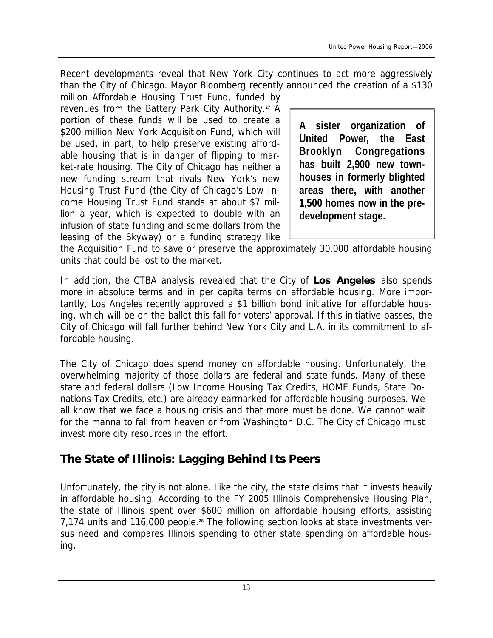Recent developments reveal that New York City continues to act more aggressively than the City of Chicago. Mayor Bloomberg recently announced the creation of a \$130

million Affordable Housing Trust Fund, funded by revenues from the Battery Park City Authority.**<sup>27</sup>** A portion of these funds will be used to create a \$200 million New York Acquisition Fund, which will be used, in part, to help preserve existing affordable housing that is in danger of flipping to market-rate housing. The City of Chicago has neither a new funding stream that rivals New York's new Housing Trust Fund (the City of Chicago's Low Income Housing Trust Fund stands at about \$7 million a year, which is expected to double with an infusion of state funding and some dollars from the leasing of the Skyway) or a funding strategy like

**A sister organization of United Power, the East Brooklyn Congregations has built 2,900 new townhouses in formerly blighted areas there, with another 1,500 homes now in the predevelopment stage.** 

the Acquisition Fund to save or preserve the approximately 30,000 affordable housing units that could be lost to the market.

In addition, the CTBA analysis revealed that the City of **Los Angeles** also spends more in absolute terms and in per capita terms on affordable housing. More importantly, Los Angeles recently approved a \$1 billion bond initiative for affordable housing, which will be on the ballot this fall for voters' approval. If this initiative passes, the City of Chicago will fall further behind New York City and L.A. in its commitment to affordable housing.

The City of Chicago does spend money on affordable housing. Unfortunately, the overwhelming majority of those dollars are federal and state funds. Many of these state and federal dollars (Low Income Housing Tax Credits, HOME Funds, State Donations Tax Credits, etc.) are already earmarked for affordable housing purposes. We all know that we face a housing crisis and that more must be done. We cannot wait for the manna to fall from heaven or from Washington D.C. The City of Chicago must invest more city resources in the effort.

# **The State of Illinois: Lagging Behind Its Peers**

Unfortunately, the city is not alone. Like the city, the state claims that it invests heavily in affordable housing. According to the FY 2005 Illinois Comprehensive Housing Plan, the state of Illinois spent over \$600 million on affordable housing efforts, assisting 7,174 units and 116,000 people.**<sup>28</sup>** The following section looks at state investments versus need and compares Illinois spending to other state spending on affordable housing.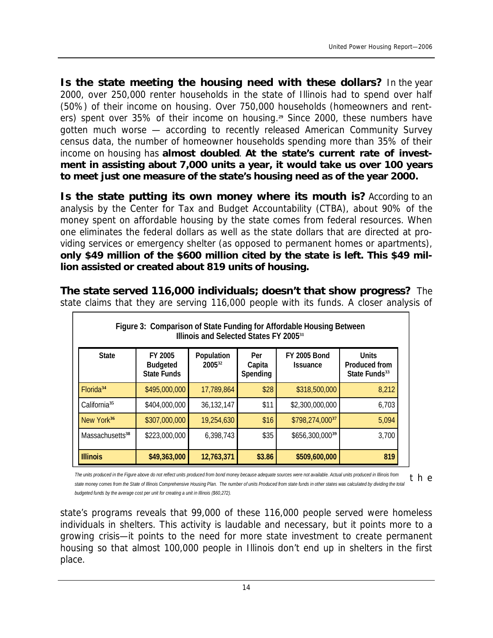*Is the state meeting the housing need with these dollars?* In the year 2000, over 250,000 renter households in the state of Illinois had to spend over half (50%) of their income on housing. Over 750,000 households (homeowners and renters) spent over 35% of their income on housing.**<sup>29</sup>** Since 2000, these numbers have gotten much worse — according to recently released American Community Survey census data, the number of homeowner households spending more than 35% of their income on housing has **almost doubled**. **At the state's current rate of investment in assisting about 7,000 units a year, it would take us over 100 years to meet just one measure of the state's housing need as of the year 2000.** 

*Is the state putting its own money where its mouth is?* According to an analysis by the Center for Tax and Budget Accountability (CTBA), about 90% of the money spent on affordable housing by the state comes from federal resources. When one eliminates the federal dollars as well as the state dollars that are directed at providing services or emergency shelter (as opposed to permanent homes or apartments), **only \$49 million of the \$600 million cited by the state is left. This \$49 million assisted or created about 819 units of housing.** 

*The state served 116,000 individuals; doesn't that show progress?* The state claims that they are serving 116,000 people with its funds. A closer analysis of

| Figure 3: Comparison of State Funding for Affordable Housing Between<br>Illinois and Selected States FY 2005 <sup>31</sup> |                                                  |                      |                           |                                        |                                                            |
|----------------------------------------------------------------------------------------------------------------------------|--------------------------------------------------|----------------------|---------------------------|----------------------------------------|------------------------------------------------------------|
| <b>State</b>                                                                                                               | FY 2005<br><b>Budgeted</b><br><b>State Funds</b> | Population<br>200532 | Per<br>Capita<br>Spending | <b>FY 2005 Bond</b><br><b>Issuance</b> | <b>Units</b><br>Produced from<br>State Funds <sup>33</sup> |
| Florida <sup>34</sup>                                                                                                      | \$495,000,000                                    | 17,789,864           | \$28                      | \$318,500,000                          | 8,212                                                      |
| California <sup>35</sup>                                                                                                   | \$404,000,000                                    | 36,132,147           | \$11                      | \$2,300,000,000                        | 6,703                                                      |
| New York <sup>36</sup>                                                                                                     | \$307,000,000                                    | 19,254,630           | \$16                      | \$798,274,00037                        | 5,094                                                      |
| Massachusetts <sup>38</sup>                                                                                                | \$223,000,000                                    | 6,398,743            | \$35                      | $$656,300,000^{39}$                    | 3,700                                                      |
| <b>Illinois</b>                                                                                                            | \$49,363,000                                     | 12,763,371           | \$3.86                    | \$509,600,000                          | 819                                                        |

t h e The units produced in the Figure above do not reflect units produced from bond money because adequate sources were not available. Actual units produced in Illinois from state money comes from the State of Illinois Comprehensive Housing Plan. The number of units Produced from state funds in other states was calculated by dividing the total *budgeted funds by the average cost per unit for creating a unit in Illinois (\$60,272).* 

state's programs reveals that 99,000 of these 116,000 people served were homeless individuals in shelters. This activity is laudable and necessary, but it points more to a growing crisis—it points to the need for more state investment to create permanent housing so that almost 100,000 people in Illinois don't end up in shelters in the first place.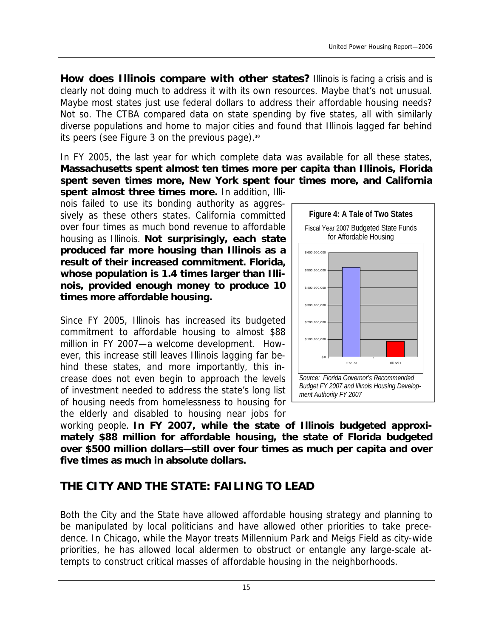*How does Illinois compare with other states?* Illinois is facing a crisis and is clearly not doing much to address it with its own resources. Maybe that's not unusual. Maybe most states just use federal dollars to address their affordable housing needs? Not so. The CTBA compared data on state spending by five states, all with similarly diverse populations and home to major cities and found that Illinois lagged far behind its peers (see Figure 3 on the previous page).**<sup>30</sup>**

In FY 2005, the last year for which complete data was available for all these states, **Massachusetts spent almost ten times more per capita than Illinois, Florida spent seven times more, New York spent four times more, and California** 

**spent almost three times more.** In addition, Illinois failed to use its bonding authority as aggressively as these others states. California committed over four times as much bond revenue to affordable housing as Illinois. **Not surprisingly, each state produced far more housing than Illinois as a result of their increased commitment. Florida, whose population is 1.4 times larger than Illinois, provided enough money to produce 10 times more affordable housing.**

Since FY 2005, Illinois has increased its budgeted commitment to affordable housing to almost \$88 million in FY 2007—a welcome development. However, this increase still leaves Illinois lagging far behind these states, and more importantly, this increase does not even begin to approach the levels of investment needed to address the state's long list of housing needs from homelessness to housing for the elderly and disabled to housing near jobs for



**Figure 4: A Tale of Two States** 

working people. **In FY 2007, while the state of Illinois budgeted approximately \$88 million for affordable housing, the state of Florida budgeted over \$500 million dollars—still over four times as much per capita and over five times as much in absolute dollars.**

# **THE CITY AND THE STATE: FAILING TO LEAD**

Both the City and the State have allowed affordable housing strategy and planning to be manipulated by local politicians and have allowed other priorities to take precedence. In Chicago, while the Mayor treats Millennium Park and Meigs Field as city-wide priorities, he has allowed local aldermen to obstruct or entangle any large-scale attempts to construct critical masses of affordable housing in the neighborhoods.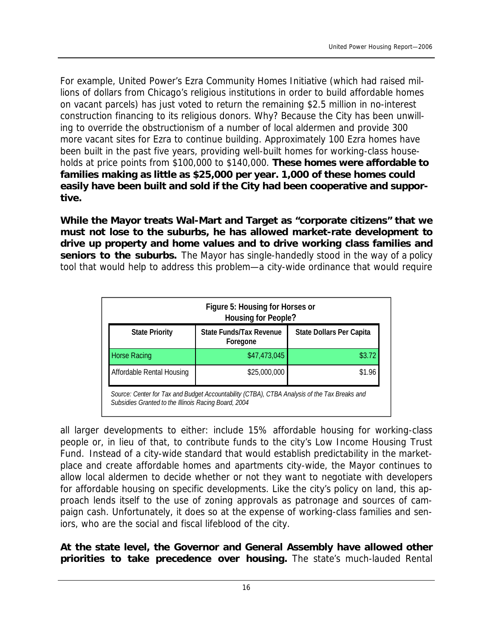For example, United Power's Ezra Community Homes Initiative (which had raised millions of dollars from Chicago's religious institutions in order to build affordable homes on vacant parcels) has just voted to return the remaining \$2.5 million in no-interest construction financing to its religious donors. Why? Because the City has been unwilling to override the obstructionism of a number of local aldermen and provide 300 more vacant sites for Ezra to continue building. Approximately 100 Ezra homes have been built in the past five years, providing well-built homes for working-class households at price points from \$100,000 to \$140,000. **These homes were affordable to families making as little as \$25,000 per year. 1,000 of these homes could easily have been built and sold if the City had been cooperative and supportive.**

**While the Mayor treats Wal-Mart and Target as "corporate citizens" that we must not lose to the suburbs, he has allowed market-rate development to drive up property and home values and to drive working class families and seniors to the suburbs.** The Mayor has single-handedly stood in the way of a policy tool that would help to address this problem—a city-wide ordinance that would require

| Figure 5: Housing for Horses or<br>Housing for People?                                                                                               |                                     |                          |  |
|------------------------------------------------------------------------------------------------------------------------------------------------------|-------------------------------------|--------------------------|--|
| <b>State Priority</b>                                                                                                                                | State Funds/Tax Revenue<br>Foregone | State Dollars Per Capita |  |
| <b>Horse Racing</b>                                                                                                                                  | \$47,473,045                        | \$3.72                   |  |
| Affordable Rental Housing                                                                                                                            | \$25,000,000                        | \$1.96                   |  |
| Source: Center for Tax and Budget Accountability (CTBA), CTBA Analysis of the Tax Breaks and<br>Subsidies Granted to the Illinois Racing Board, 2004 |                                     |                          |  |

all larger developments to either: include 15% affordable housing for working-class people or, in lieu of that, to contribute funds to the city's Low Income Housing Trust Fund. Instead of a city-wide standard that would establish predictability in the marketplace and create affordable homes and apartments city-wide, the Mayor continues to allow local aldermen to decide whether or not they want to negotiate with developers for affordable housing on specific developments. Like the city's policy on land, this approach lends itself to the use of zoning approvals as patronage and sources of campaign cash. Unfortunately, it does so at the expense of working-class families and seniors, who are the social and fiscal lifeblood of the city.

**At the state level, the Governor and General Assembly have allowed other priorities to take precedence over housing.** The state's much-lauded Rental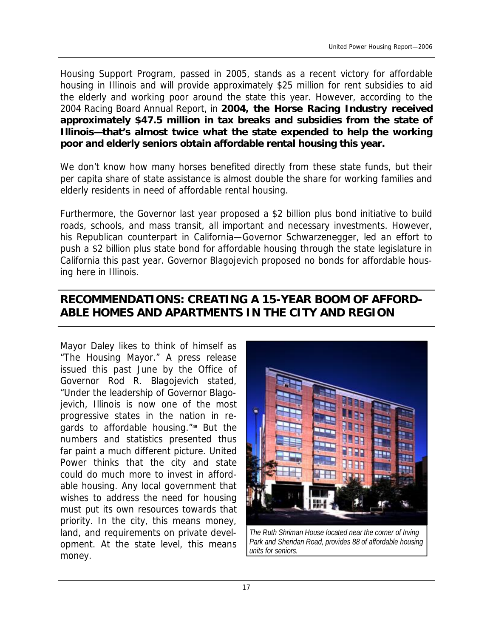Housing Support Program, passed in 2005, stands as a recent victory for affordable housing in Illinois and will provide approximately \$25 million for rent subsidies to aid the elderly and working poor around the state this year. However, according to the 2004 Racing Board Annual Report, in **2004, the Horse Racing Industry received approximately \$47.5 million in tax breaks and subsidies from the state of Illinois—that's almost twice what the state expended to help the working poor and elderly seniors obtain affordable rental housing this year.** 

We don't know how many horses benefited directly from these state funds, but their per capita share of state assistance is almost double the share for working families and elderly residents in need of affordable rental housing.

Furthermore, the Governor last year proposed a \$2 billion plus bond initiative to build roads, schools, and mass transit, all important and necessary investments. However, his Republican counterpart in California—Governor Schwarzenegger, led an effort to push a \$2 billion plus state bond for affordable housing through the state legislature in California this past year. Governor Blagojevich proposed no bonds for affordable housing here in Illinois.

### **RECOMMENDATIONS: CREATING A 15-YEAR BOOM OF AFFORD-ABLE HOMES AND APARTMENTS IN THE CITY AND REGION**

Mayor Daley likes to think of himself as "The Housing Mayor." A press release issued this past June by the Office of Governor Rod R. Blagojevich stated, "Under the leadership of Governor Blagojevich, Illinois is now one of the most progressive states in the nation in regards to affordable housing."**<sup>40</sup>** But the numbers and statistics presented thus far paint a much different picture. United Power thinks that the city and state could do much more to invest in affordable housing. Any local government that wishes to address the need for housing must put its own resources towards that priority. In the city, this means money, land, and requirements on private development. At the state level, this means money.



*Park and Sheridan Road, provides 88 of affordable housing units for seniors.*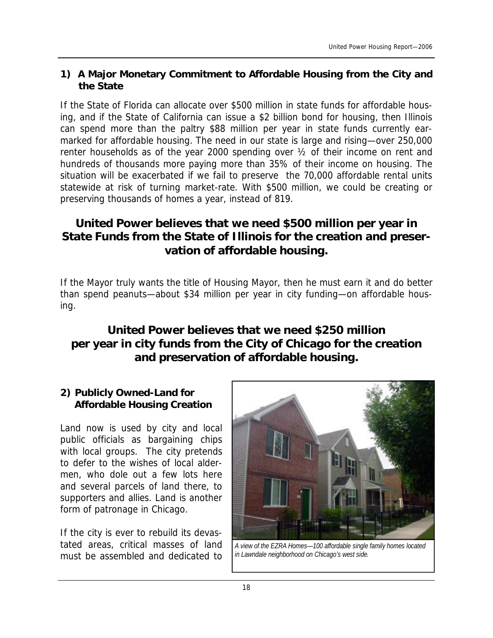#### **1) A Major Monetary Commitment to Affordable Housing from the City and the State**

If the State of Florida can allocate over \$500 million in state funds for affordable housing, and if the State of California can issue a \$2 billion bond for housing, then Illinois can spend more than the paltry \$88 million per year in state funds currently earmarked for affordable housing. The need in our state is large and rising—over 250,000 renter households as of the year 2000 spending over ½ of their income on rent and hundreds of thousands more paying more than 35% of their income on housing. The situation will be exacerbated if we fail to preserve the 70,000 affordable rental units statewide at risk of turning market-rate. With \$500 million, we could be creating or preserving thousands of homes a year, instead of 819.

## **United Power believes that we need \$500 million per year in State Funds from the State of Illinois for the creation and preservation of affordable housing.**

If the Mayor truly wants the title of Housing Mayor, then he must earn it and do better than spend peanuts—about \$34 million per year in city funding—on affordable housing.

## **United Power believes that we need \$250 million per year in city funds from the City of Chicago for the creation and preservation of affordable housing.**

#### **2) Publicly Owned-Land for Affordable Housing Creation**

Land now is used by city and local public officials as bargaining chips with local groups. The city pretends to defer to the wishes of local aldermen, who dole out a few lots here and several parcels of land there, to supporters and allies. Land is another form of patronage in Chicago.

If the city is ever to rebuild its devastated areas, critical masses of land must be assembled and dedicated to



*A view of the EZRA Homes—100 affordable single family homes located in Lawndale neighborhood on Chicago's west side.*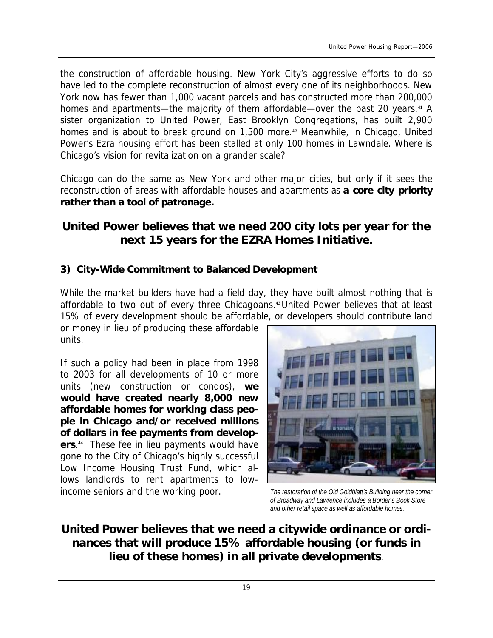the construction of affordable housing. New York City's aggressive efforts to do so have led to the complete reconstruction of almost every one of its neighborhoods. New York now has fewer than 1,000 vacant parcels and has constructed more than 200,000 homes and apartments—the majority of them affordable—over the past 20 years.**<sup>41</sup>** A sister organization to United Power, East Brooklyn Congregations, has built 2,900 homes and is about to break ground on 1,500 more.**<sup>42</sup>** Meanwhile, in Chicago, United Power's Ezra housing effort has been stalled at only 100 homes in Lawndale. Where is Chicago's vision for revitalization on a grander scale?

Chicago can do the same as New York and other major cities, but only if it sees the reconstruction of areas with affordable houses and apartments as *a core city priority rather than a tool of patronage***.** 

## **United Power believes that we need 200 city lots per year for the next 15 years for the EZRA Homes Initiative.**

#### **3) City-Wide Commitment to Balanced Development**

While the market builders have had a field day, they have built almost nothing that is affordable to two out of every three Chicagoans.**43** United Power believes that at least 15% of every development should be affordable, or developers should contribute land

or money in lieu of producing these affordable units.

If such a policy had been in place from 1998 to 2003 for all developments of 10 or more units (new construction or condos), **we would have created nearly 8,000 new affordable homes for working class people in Chicago and/or received millions of dollars in fee payments from developers**. **44** These fee in lieu payments would have gone to the City of Chicago's highly successful Low Income Housing Trust Fund, which allows landlords to rent apartments to lowincome seniors and the working poor.



*The restoration of the Old Goldblatt's Building near the corner of Broadway and Lawrence includes a Border's Book Store and other retail space as well as affordable homes.* 

**United Power believes that we need a citywide ordinance or ordinances that will produce 15% affordable housing (or funds in lieu of these homes) in all private developments**.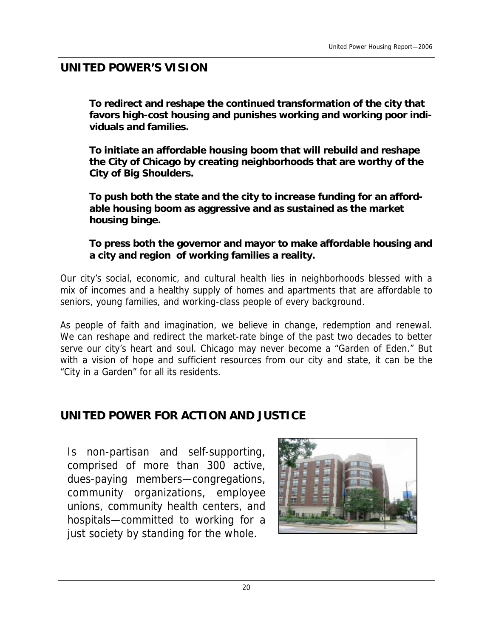# **UNITED POWER'S VISION**

**To redirect and reshape the continued transformation of the city that favors high-cost housing and punishes working and working poor individuals and families.** 

**To initiate an affordable housing boom that will rebuild and reshape the City of Chicago by creating neighborhoods that are worthy of the City of Big Shoulders.** 

**To push both the state and the city to increase funding for an affordable housing boom as aggressive and as sustained as the market housing binge.** 

**To press both the governor and mayor to make affordable housing and a city and region of working families a reality.**

*Our city's social, economic, and cultural health lies in neighborhoods blessed with a mix of incomes and a healthy supply of homes and apartments that are affordable to seniors, young families, and working-class people of every background.* 

*As people of faith and imagination, we believe in change, redemption and renewal. We can reshape and redirect the market-rate binge of the past two decades to better serve our city's heart and soul. Chicago may never become a "Garden of Eden." But with a vision of hope and sufficient resources from our city and state, it can be the "City in a Garden" for all its residents.* 

# **UNITED POWER FOR ACTION AND JUSTICE**

Is non-partisan and self-supporting, comprised of more than 300 active, dues-paying members—congregations, community organizations, employee unions, community health centers, and hospitals—committed to working for a just society by standing for the whole.

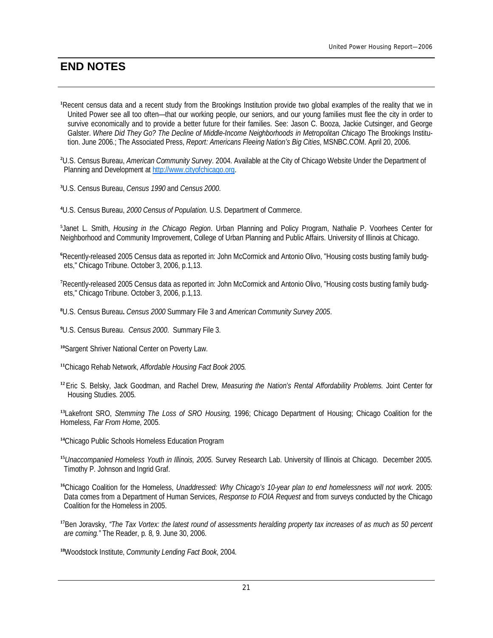### **END NOTES**

- **<sup>1</sup>**Recent census data and a recent study from the Brookings Institution provide two global examples of the reality that we in United Power see all too often—that our working people, our seniors, and our young families must flee the city in order to survive economically and to provide a better future for their families. See: Jason C. Booza, Jackie Cutsinger, and George Galster. *Where Did They Go? The Decline of Middle-Income Neighborhoods in Metropolitan Chicago* The Brookings Institution. June 2006.; The Associated Press, *Report: Americans Fleeing Nation's Big Cities*, MSNBC.COM. April 20, 2006.
- **<sup>2</sup>**U.S. Census Bureau, *American Community Survey*. 2004. Available at the City of Chicago Website Under the Department of Planning and Development at [http://www.cityofchicago.org.](http://www.cityofchicago.org)
- **<sup>3</sup>**U.S. Census Bureau, *Census 1990* and *Census 2000*.
- **<sup>4</sup>**U.S. Census Bureau, *2000 Census of Population*. U.S. Department of Commerce.

**5** Janet L. Smith, *Housing in the Chicago Region*. Urban Planning and Policy Program, Nathalie P. Voorhees Center for Neighborhood and Community Improvement, College of Urban Planning and Public Affairs. University of Illinois at Chicago.

- **<sup>6</sup>**Recently-released 2005 Census data as reported in: John McCormick and Antonio Olivo, "Housing costs busting family budgets," Chicago Tribune. October 3, 2006, p.1,13.
- **<sup>7</sup>**Recently-released 2005 Census data as reported in: John McCormick and Antonio Olivo, "Housing costs busting family budgets," Chicago Tribune. October 3, 2006, p.1,13.
- **<sup>8</sup>**U.S. Census Bureau**.** *Census 2000* Summary File 3 and *American Community Survey 2005*.
- **<sup>9</sup>**U.S. Census Bureau. *Census 2000*. Summary File 3.
- **<sup>10</sup>**Sargent Shriver National Center on Poverty Law.
- **<sup>11</sup>**Chicago Rehab Network, *Affordable Housing Fact Book 2005.*
- **<sup>12</sup>**Eric S. Belsky, Jack Goodman, and Rachel Drew, *Measuring the Nation's Rental Affordability Problems.* Joint Center for Housing Studies. 2005.

**<sup>13</sup>**Lakefront SRO, *Stemming The Loss of SRO Housing,* 1996; Chicago Department of Housing; Chicago Coalition for the Homeless, *Far From Home*, 2005.

- **<sup>14</sup>**Chicago Public Schools Homeless Education Program
- **<sup>15</sup>***Unaccompanied Homeless Youth in Illinois, 2005.* Survey Research Lab. University of Illinois at Chicago. December 2005. Timothy P. Johnson and Ingrid Graf.
- **<sup>16</sup>**Chicago Coalition for the Homeless, *Unaddressed: Why Chicago's 10-year plan to end homelessness will not work.* 2005: Data comes from a Department of Human Services, *Response to FOIA Request* and from surveys conducted by the Chicago Coalition for the Homeless in 2005.
- <sup>17</sup>Ben Joravsky, "The Tax Vortex: the latest round of assessments heralding property tax increases of as much as 50 percent *are coming."* The Reader, p. 8, 9. June 30, 2006.
- **<sup>18</sup>**Woodstock Institute, *Community Lending Fact Book*, 2004.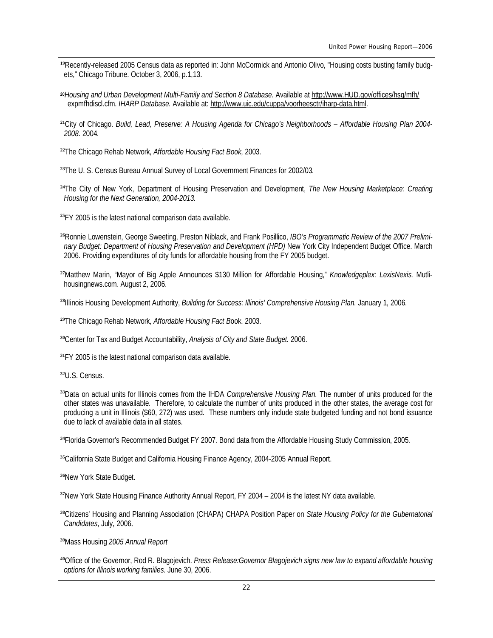- Recently-released 2005 Census data as reported in: John McCormick and Antonio Olivo, "Housing costs busting family budgets," Chicago Tribune. October 3, 2006, p.1,13.
- *Housing and Urban Development Multi-Family and Section 8 Database.* Available at <http://www.HUD.gov/offices/hsg/mfh/> expmfhdiscl.cfm. *IHARP Database.* Available at: <http://www.uic.edu/cuppa/voorheesctr/iharp-data.html>.
- City of Chicago. *Build, Lead, Preserve: A Housing Agenda for Chicago's Neighborhoods – Affordable Housing Plan 2004- 2008.* 2004.
- The Chicago Rehab Network, *Affordable Housing Fact Book*, 2003.

The U. S. Census Bureau Annual Survey of Local Government Finances for 2002/03.

- The City of New York, Department of Housing Preservation and Development, *The New Housing Marketplace: Creating Housing for the Next Generation, 2004-2013.*
- FY 2005 is the latest national comparison data available.
- Ronnie Lowenstein, George Sweeting, Preston Niblack, and Frank Posillico, *IBO's Programmatic Review of the 2007 Preliminary Budget: Department of Housing Preservation and Development (HPD)* New York City Independent Budget Office. March 2006. Providing expenditures of city funds for affordable housing from the FY 2005 budget.
- Matthew Marin, "Mayor of Big Apple Announces \$130 Million for Affordable Housing," *Knowledgeplex: LexisNexis*. Mutlihousingnews.com. August 2, 2006.
- Illinois Housing Development Authority, *Building for Success: Illinois' Comprehensive Housing Plan*. January 1, 2006.
- The Chicago Rehab Network, *Affordable Housing Fact B*ook. 2003.
- Center for Tax and Budget Accountability, *Analysis of City and State Budget.* 2006.
- FY 2005 is the latest national comparison data available.
- U.S. Census.
- Data on actual units for Illinois comes from the IHDA *Comprehensive Housing Plan.* The number of units produced for the other states was unavailable. Therefore, to calculate the number of units produced in the other states, the average cost for producing a unit in Illinois (\$60, 272) was used. These numbers only include state budgeted funding and not bond issuance due to lack of available data in all states.
- Florida Governor's Recommended Budget FY 2007. Bond data from the Affordable Housing Study Commission, 2005.
- California State Budget and California Housing Finance Agency, 2004-2005 Annual Report.
- New York State Budget.
- New York State Housing Finance Authority Annual Report, FY 2004 2004 is the latest NY data available.
- Citizens' Housing and Planning Association (CHAPA) CHAPA Position Paper on *State Housing Policy for the Gubernatorial Candidates*, July, 2006.
- Mass Housing *2005 Annual Report*
- Office of the Governor, Rod R. Blagojevich. *Press Release:Governor Blagojevich signs new law to expand affordable housing options for Illinois working families.* June 30, 2006.